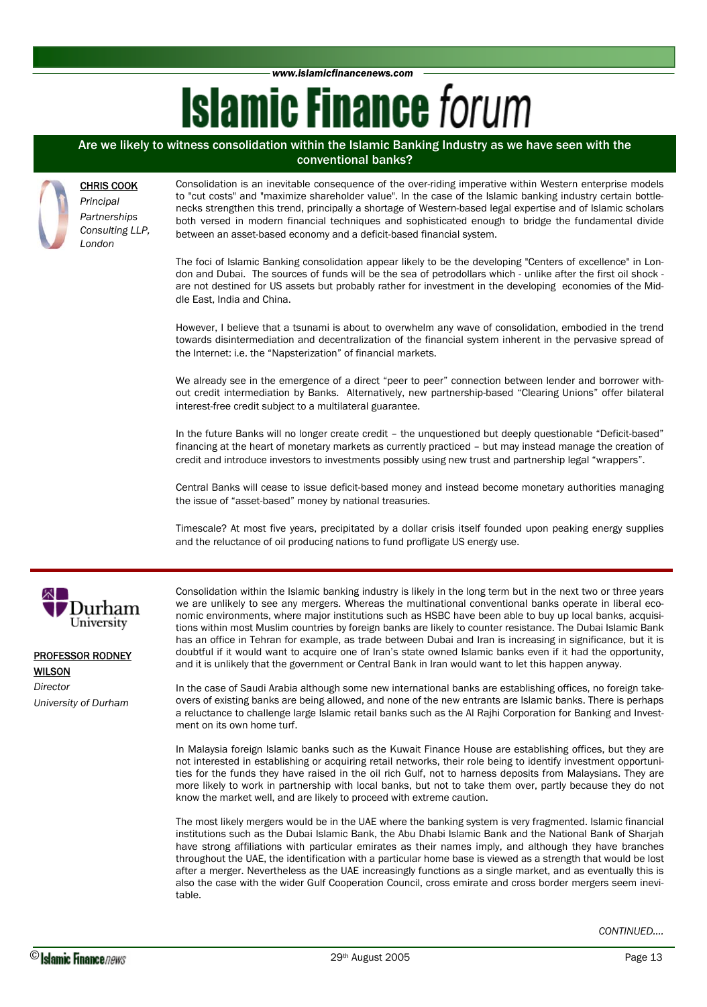*www.islamicfinancenews.com* 

# **Islamic Finance forum**

## Are we likely to witness consolidation within the Islamic Banking Industry as we have seen with the conventional banks?

### CHRIS COOK

*Principal Partnerships Consulting LLP, London* 

Consolidation is an inevitable consequence of the over-riding imperative within Western enterprise models to "cut costs" and "maximize shareholder value". In the case of the Islamic banking industry certain bottlenecks strengthen this trend, principally a shortage of Western-based legal expertise and of Islamic scholars both versed in modern financial techniques and sophisticated enough to bridge the fundamental divide between an asset-based economy and a deficit-based financial system.

The foci of Islamic Banking consolidation appear likely to be the developing "Centers of excellence" in London and Dubai. The sources of funds will be the sea of petrodollars which - unlike after the first oil shock are not destined for US assets but probably rather for investment in the developing economies of the Middle East, India and China.

However, I believe that a tsunami is about to overwhelm any wave of consolidation, embodied in the trend towards disintermediation and decentralization of the financial system inherent in the pervasive spread of the Internet: i.e. the "Napsterization" of financial markets.

We already see in the emergence of a direct "peer to peer" connection between lender and borrower without credit intermediation by Banks. Alternatively, new partnership-based "Clearing Unions" offer bilateral interest-free credit subject to a multilateral guarantee.

In the future Banks will no longer create credit – the unquestioned but deeply questionable "Deficit-based" financing at the heart of monetary markets as currently practiced – but may instead manage the creation of credit and introduce investors to investments possibly using new trust and partnership legal "wrappers".

Central Banks will cease to issue deficit-based money and instead become monetary authorities managing the issue of "asset-based" money by national treasuries.

Timescale? At most five years, precipitated by a dollar crisis itself founded upon peaking energy supplies and the reluctance of oil producing nations to fund profligate US energy use.



PROFESSOR RODNEY **WILSON** 

*Director University of Durham*  Consolidation within the Islamic banking industry is likely in the long term but in the next two or three years we are unlikely to see any mergers. Whereas the multinational conventional banks operate in liberal economic environments, where major institutions such as HSBC have been able to buy up local banks, acquisitions within most Muslim countries by foreign banks are likely to counter resistance. The Dubai Islamic Bank has an office in Tehran for example, as trade between Dubai and Iran is increasing in significance, but it is doubtful if it would want to acquire one of Iran's state owned Islamic banks even if it had the opportunity, and it is unlikely that the government or Central Bank in Iran would want to let this happen anyway.

In the case of Saudi Arabia although some new international banks are establishing offices, no foreign takeovers of existing banks are being allowed, and none of the new entrants are Islamic banks. There is perhaps a reluctance to challenge large Islamic retail banks such as the Al Rajhi Corporation for Banking and Investment on its own home turf.

In Malaysia foreign Islamic banks such as the Kuwait Finance House are establishing offices, but they are not interested in establishing or acquiring retail networks, their role being to identify investment opportunities for the funds they have raised in the oil rich Gulf, not to harness deposits from Malaysians. They are more likely to work in partnership with local banks, but not to take them over, partly because they do not know the market well, and are likely to proceed with extreme caution.

The most likely mergers would be in the UAE where the banking system is very fragmented. Islamic financial institutions such as the Dubai Islamic Bank, the Abu Dhabi Islamic Bank and the National Bank of Sharjah have strong affiliations with particular emirates as their names imply, and although they have branches throughout the UAE, the identification with a particular home base is viewed as a strength that would be lost after a merger. Nevertheless as the UAE increasingly functions as a single market, and as eventually this is also the case with the wider Gulf Cooperation Council, cross emirate and cross border mergers seem inevitable.

*CONTINUED….*